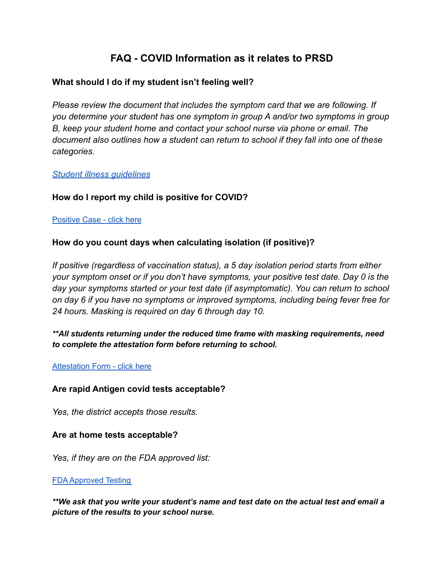# **FAQ - COVID Information as it relates to PRSD**

## **What should I do if my student isn't feeling well?**

*Please review the document that includes the symptom card that we are following. If you determine your student has one symptom in group A and/or two symptoms in group B, keep your student home and contact your school nurse via phone or email. The document also outlines how a student can return to school if they fall into one of these categories.*

#### *[Student illness guidelines](https://www.pinerichland.org/Page/9172)*

## **How do I report my child is positive for COVID?**

#### [Positive](https://docs.google.com/forms/d/e/1FAIpQLSeLFX620eiE_Gg_dhmF-oH_zwPfWgxD-NpMgmCma110uEqjJw/viewform) Case - click here

## **How do you count days when calculating isolation (if positive)?**

*If positive (regardless of vaccination status), a 5 day isolation period starts from either your symptom onset or if you don't have symptoms, your positive test date. Day 0 is the day your symptoms started or your test date (if asymptomatic). You can return to school on day 6 if you have no symptoms or improved symptoms, including being fever free for 24 hours. Masking is required on day 6 through day 10.*

*\*\*All students returning under the reduced time frame with masking requirements, need to complete the attestation form before returning to school.*

#### **[Attestation](https://docs.google.com/forms/d/e/1FAIpQLSf23miq8huPVcXvr53cK7UEU2W5cs4inZ5z73d917YV2vARJw/viewform) Form - click here**

## **Are rapid Antigen covid tests acceptable?**

*Yes, the district accepts those results.*

#### **Are at home tests acceptable?**

*Yes, if they are on the FDA approved list:*

#### FDA [Approved](https://www.fda.gov/medical-devices/coronavirus-disease-2019-covid-19-emergency-use-authorizations-medical-devices/in-vitro-diagnostics-euas-antigen-diagnostic-tests-sars-cov-2) Testing

*\*\*We ask that you write your student's name and test date on the actual test and email a picture of the results to your school nurse.*